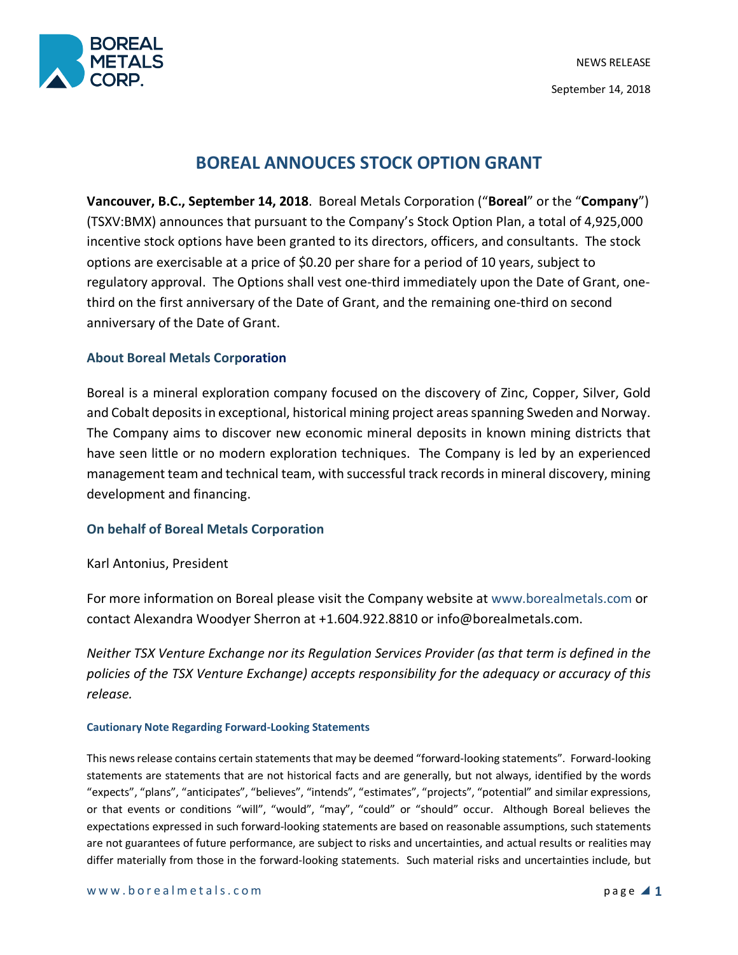



# **BOREAL ANNOUCES STOCK OPTION GRANT**

**Vancouver, B.C., September 14, 2018**. Boreal Metals Corporation ("**Boreal**" or the "**Company**") (TSXV:BMX) announces that pursuant to the Company's Stock Option Plan, a total of 4,925,000 incentive stock options have been granted to its directors, officers, and consultants. The stock options are exercisable at a price of \$0.20 per share for a period of 10 years, subject to regulatory approval. The Options shall vest one-third immediately upon the Date of Grant, onethird on the first anniversary of the Date of Grant, and the remaining one-third on second anniversary of the Date of Grant.

## **About Boreal Metals Corporation**

Boreal is a mineral exploration company focused on the discovery of Zinc, Copper, Silver, Gold and Cobalt deposits in exceptional, historical mining project areas spanning Sweden and Norway. The Company aims to discover new economic mineral deposits in known mining districts that have seen little or no modern exploration techniques. The Company is led by an experienced management team and technical team, with successful track records in mineral discovery, mining development and financing.

### **On behalf of Boreal Metals Corporation**

Karl Antonius, President

For more information on Boreal please visit the Company website at www.borealmetals.com or contact Alexandra Woodyer Sherron at +1.604.922.8810 or info@borealmetals.com.

*Neither TSX Venture Exchange nor its Regulation Services Provider (as that term is defined in the policies of the TSX Venture Exchange) accepts responsibility for the adequacy or accuracy of this release.* 

#### **Cautionary Note Regarding Forward-Looking Statements**

This news release contains certain statements that may be deemed "forward-looking statements". Forward-looking statements are statements that are not historical facts and are generally, but not always, identified by the words "expects", "plans", "anticipates", "believes", "intends", "estimates", "projects", "potential" and similar expressions, or that events or conditions "will", "would", "may", "could" or "should" occur. Although Boreal believes the expectations expressed in such forward-looking statements are based on reasonable assumptions, such statements are not guarantees of future performance, are subject to risks and uncertainties, and actual results or realities may differ materially from those in the forward-looking statements. Such material risks and uncertainties include, but